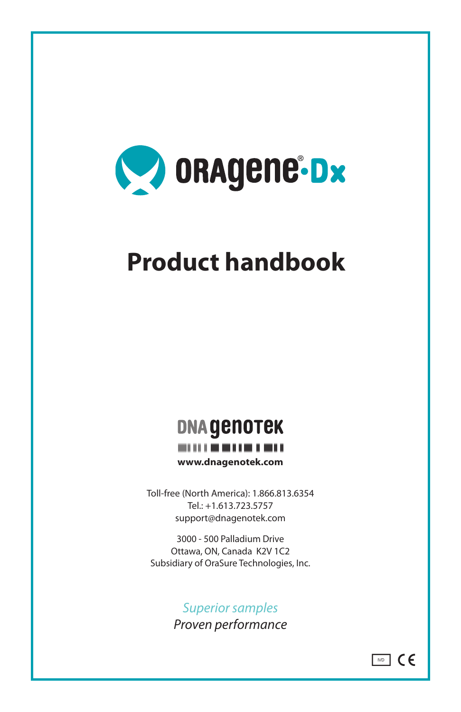

# **Product handbook**



Toll-free (North America): 1.866.813.6354 Tel.: +1.613.723.5757 support@dnagenotek.com

3000 - 500 Palladium Drive Ottawa, ON, Canada K2V 1C2 Subsidiary of OraSure Technologies, Inc.

> *Superior samples Proven performance*

> > $\boxed{\circ}$  CE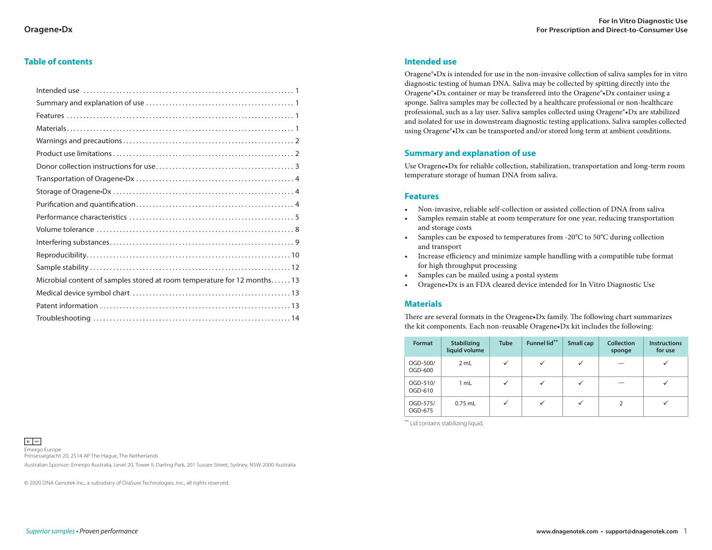## **Table of contents**

| Microbial content of samples stored at room temperature for 12 months. 13 |
|---------------------------------------------------------------------------|
|                                                                           |
|                                                                           |
|                                                                           |

## **Intended use**

Oragene®•Dx is intended for use in the non-invasive collection of saliva samples for in vitro diagnostic testing of human DNA. Saliva may be collected by spitting directly into the Oragene®•Dx container or may be transferred into the Oragene®•Dx container using a sponge. Saliva samples may be collected by a healthcare professional or non-healthcare professional, such as a lay user. Saliva samples collected using Oragene®•Dx are stabilized and isolated for use in downstream diagnostic testing applications. Saliva samples collected using Oragene®•Dx can be transported and/or stored long term at ambient conditions.

## **Summary and explanation of use**

Use Oragene•Dx for reliable collection, stabilization, transportation and long-term room temperature storage of human DNA from saliva.

#### **Features**

- Non-invasive, reliable self-collection or assisted collection of DNA from saliva
- Samples remain stable at room temperature for one year, reducing transportation and storage costs
- Samples can be exposed to temperatures from -20°C to 50°C during collection and transport
- Increase efficiency and minimize sample handling with a compatible tube format for high throughput processing
- Samples can be mailed using a postal system
- Oragene•Dx is an FDA cleared device intended for In Vitro Diagnostic Use

#### **Materials**

There are several formats in the Oragene•Dx family. The following chart summarizes the kit components. Each non-reusable Oragene•Dx kit includes the following:

| Format              | <b>Stabilizing</b><br>liquid volume | <b>Tube</b>  | Funnel lid** | <b>Small cap</b> | Collection<br>sponge | <b>Instructions</b><br>for use |
|---------------------|-------------------------------------|--------------|--------------|------------------|----------------------|--------------------------------|
| OGD-500/<br>OGD-600 | 2 mL                                | $\checkmark$ |              | $\checkmark$     |                      |                                |
| OGD-510/<br>OGD-610 | 1 mL                                | $\checkmark$ | $\checkmark$ | $\checkmark$     |                      |                                |
| OGD-575/<br>OGD-675 | $0.75$ mL                           | ✓            | $\checkmark$ | $\checkmark$     |                      |                                |

\*\* Lid contains stabilizing liquid.

|--|

Emergo Europe Prinsessegracht 20, 2514 AP The Hague, The Netherlands

Australian Sponsor: Emergo Australia, Level 20, Tower II, Darling Park, 201 Sussex Street, Sydney, NSW 2000 Australia

© 2020 DNA Genotek Inc., a subsidiary of OraSure Technologies, Inc., all rights reserved.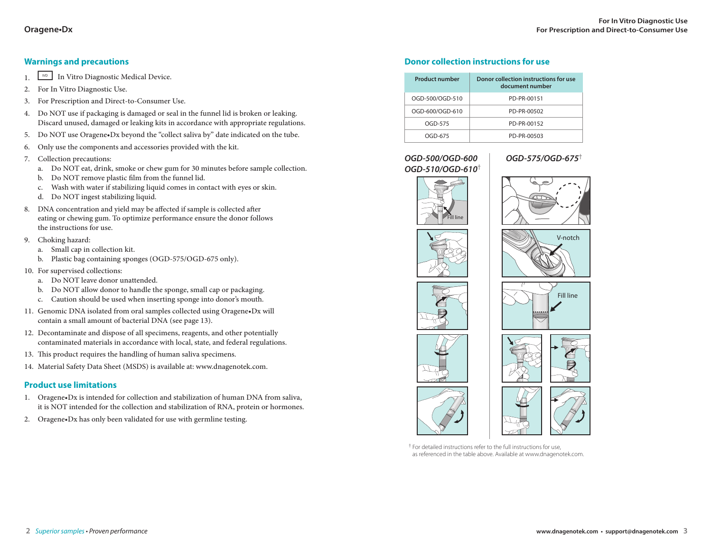## **Warnings and precautions**

- $1.$  W<sup>D</sup> In Vitro Diagnostic Medical Device.
- 2. For In Vitro Diagnostic Use.
- 3. For Prescription and Direct-to-Consumer Use.
- 4. Do NOT use if packaging is damaged or seal in the funnel lid is broken or leaking. Discard unused, damaged or leaking kits in accordance with appropriate regulations.
- 5. Do NOT use Oragene•Dx beyond the "collect saliva by" date indicated on the tube.
- 6. Only use the components and accessories provided with the kit.
- 7. Collection precautions:
	- a. Do NOT eat, drink, smoke or chew gum for 30 minutes before sample collection.
	- b. Do NOT remove plastic film from the funnel lid.
	- c. Wash with water if stabilizing liquid comes in contact with eyes or skin.
	- d. Do NOT ingest stabilizing liquid.
- 8. DNA concentration and yield may be affected if sample is collected after eating or chewing gum. To optimize performance ensure the donor follows the instructions for use.
- 9. Choking hazard:
	- a. Small cap in collection kit.
	- b. Plastic bag containing sponges (OGD-575/OGD-675 only).
- 10. For supervised collections:
	- a. Do NOT leave donor unattended.
	- b. Do NOT allow donor to handle the sponge, small cap or packaging.
	- c. Caution should be used when inserting sponge into donor's mouth.
- 11. Genomic DNA isolated from oral samples collected using Oragene•Dx will contain a small amount of bacterial DNA (see page 13).
- 12. Decontaminate and dispose of all specimens, reagents, and other potentially contaminated materials in accordance with local, state, and federal regulations.
- 13. This product requires the handling of human saliva specimens.
- 14. Material Safety Data Sheet (MSDS) is available at: www.dnagenotek.com.

## **Product use limitations**

**2** *Superior samples • Proven performance*

- 1. Oragene•Dx is intended for collection and stabilization of human DNA from saliva, it is NOT intended for the collection and stabilization of RNA, protein or hormones.
- 2. Oragene•Dx has only been validated for use with germline testing.

## **Donor collection instructions for use**

| <b>Product number</b> | Donor collection instructions for use<br>document number |
|-----------------------|----------------------------------------------------------|
| OGD-500/OGD-510       | PD-PR-00151                                              |
| OGD-600/OGD-610       | PD-PR-00502                                              |
| OGD-575               | PD-PR-00152                                              |
| OGD-675               | PD-PR-00503                                              |

## *OGD-500/OGD-600 OGD-510/OGD-610*†













*OGD-575/OGD-675*†

V-notch

Fill line

† For detailed instructions refer to the full instructions for use, as referenced in the table above. Available at www.dnagenotek.com.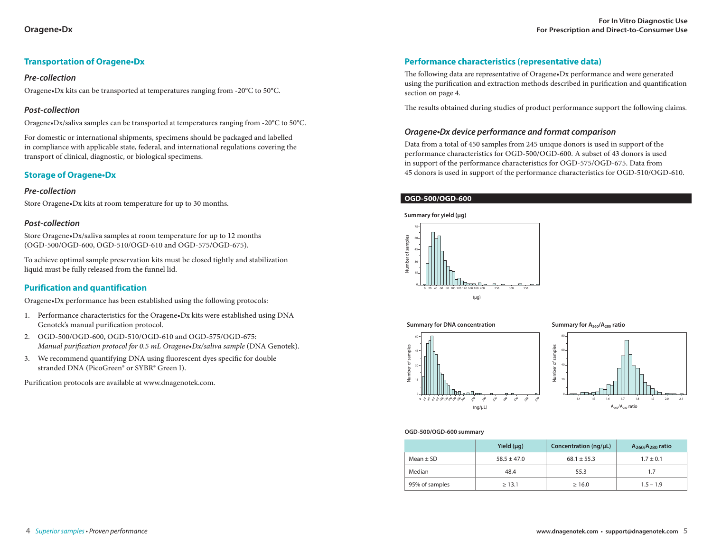## **Transportation of Oragene•Dx**

## *Pre-collection*

Oragene•Dx kits can be transported at temperatures ranging from -20°C to 50°C.

## *Post-collection*

Oragene•Dx/saliva samples can be transported at temperatures ranging from -20°C to 50°C.

For domestic or international shipments, specimens should be packaged and labelled in compliance with applicable state, federal, and international regulations covering the transport of clinical, diagnostic, or biological specimens.

## **Storage of Oragene•Dx**

#### *Pre-collection*

Store Oragene•Dx kits at room temperature for up to 30 months.

## *Post-collection*

Store Oragene•Dx/saliva samples at room temperature for up to 12 months (OGD-500/OGD-600, OGD-510/OGD-610 and OGD-575/OGD-675).

To achieve optimal sample preservation kits must be closed tightly and stabilization liquid must be fully released from the funnel lid.

## **Purification and quantification**

Oragene•Dx performance has been established using the following protocols:

- 1. Performance characteristics for the Oragene•Dx kits were established using DNA Genotek's manual purification protocol.
- 2. OGD-500/OGD-600, OGD-510/OGD-610 and OGD-575/OGD-675: *Manual purification protocol for 0.5 mL Oragene•Dx/saliva sample* (DNA Genotek).
- 3. We recommend quantifying DNA using fluorescent dyes specific for double stranded DNA (PicoGreen® or SYBR® Green I).

Purification protocols are available at www.dnagenotek.com.

## **Performance characteristics (representative data)**

The following data are representative of Oragene•Dx performance and were generated using the purification and extraction methods described in purification and quantification section on page 4.

The results obtained during studies of product performance support the following claims.

## *Oragene•Dx device performance and format comparison*

Data from a total of 450 samples from 245 unique donors is used in support of the performance characteristics for OGD-500/OGD-600. A subset of 43 donors is used in support of the performance characteristics for OGD-575/OGD-675. Data from 45 donors is used in support of the performance characteristics for OGD-510/OGD-610.

#### **OGD-500/OGD-600**





**Summary for DNA concentration**

**Summary for A260/A280 ratio**





#### **OGD-500/OGD-600 summary**

|                | Yield $(\mu q)$ | Concentration $(ng/µL)$ | $A_{260}/A_{280}$ ratio |
|----------------|-----------------|-------------------------|-------------------------|
| $Mean + SD$    | $58.5 + 47.0$   | $68.1 + 55.3$           | $1.7 \pm 0.1$           |
| Median         | 48.4            | 55.3                    | 1.7                     |
| 95% of samples | $\geq 13.1$     | $\geq 16.0$             | $1.5 - 1.9$             |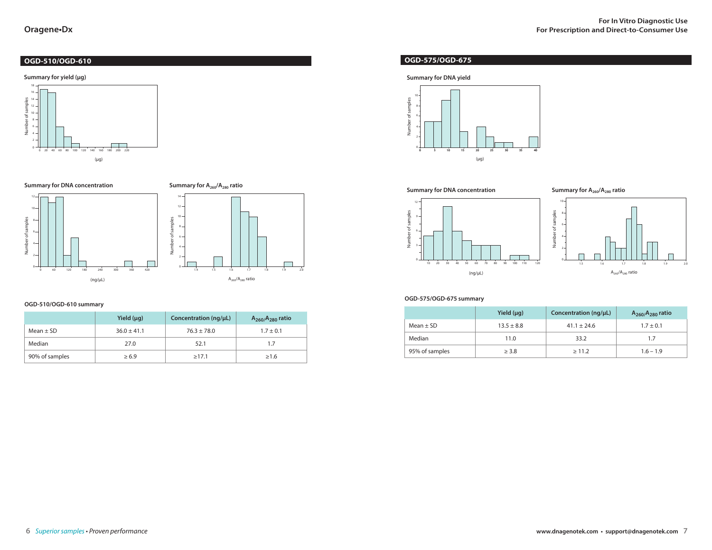## **Oragene•Dx**

## **OGD-510/OGD-610**



#### **Summary for DNA concentration**



#### **OGD-510/OGD-610 summary**

|                | Yield $(\mu g)$ | Concentration (ng/µL) | $A_{260}/A_{280}$ ratio |
|----------------|-----------------|-----------------------|-------------------------|
| $Mean + SD$    | $36.0 + 41.1$   | $76.3 + 78.0$         | $1.7 \pm 0.1$           |
| Median         | 27.0            | 52.1                  | 1.7                     |
| 90% of samples | $\geq 6.9$      | >17.1                 | $\geq$ 1.6              |

Summary for A<sub>260</sub>/A<sub>280</sub> ratio

**Tall** 

## **OGD-575/OGD-675**







#### **OGD-575/OGD-675 summary**

|                | Yield $(\mu g)$ | Concentration (ng/µL) | $A_{260}/A_{280}$ ratio |
|----------------|-----------------|-----------------------|-------------------------|
| $Mean \pm SD$  | $13.5 \pm 8.8$  | $41.1 \pm 24.6$       | $1.7 \pm 0.1$           |
| Median         | 11.0            | 33.2                  | 1.7                     |
| 95% of samples | > 3.8           | >11.2                 | $1.6 - 1.9$             |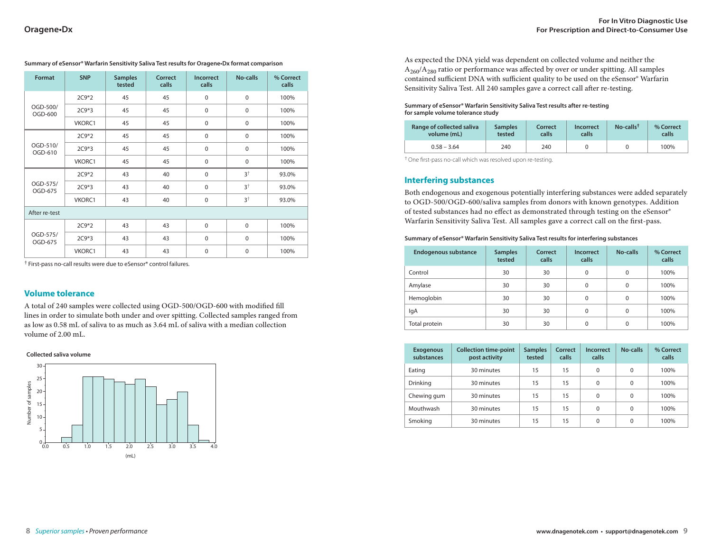| Format              | <b>SNP</b> | <b>Samples</b><br>tested | Correct<br>calls | <b>Incorrect</b><br>calls | <b>No-calls</b> | % Correct<br>calls |
|---------------------|------------|--------------------------|------------------|---------------------------|-----------------|--------------------|
|                     | $2C9*2$    | 45                       | 45               | $\mathbf 0$               | $\mathbf 0$     | 100%               |
| OGD-500/<br>OGD-600 | $2C9*3$    | 45                       | 45               | $\mathbf 0$               | $\mathbf 0$     | 100%               |
|                     | VKORC1     | 45                       | 45               | $\mathbf 0$               | $\mathbf 0$     | 100%               |
|                     | $2C9*2$    | 45                       | 45               | $\mathbf 0$               | $\mathbf 0$     | 100%               |
| OGD-510/<br>OGD-610 | $2C9*3$    | 45                       | 45               | $\Omega$                  | $\mathbf 0$     | 100%               |
|                     | VKORC1     | 45                       | 45               | $\Omega$                  | $\mathbf 0$     | 100%               |
|                     | $2C9*2$    | 43                       | 40               | $\mathbf 0$               | $3^+$           | 93.0%              |
| OGD-575/<br>OGD-675 | $2C9*3$    | 43                       | 40               | $\mathbf 0$               | $3^+$           | 93.0%              |
|                     | VKORC1     | 43                       | 40               | $\mathbf 0$               | $3^+$           | 93.0%              |
| After re-test       |            |                          |                  |                           |                 |                    |
|                     | 2C9*2      | 43                       | 43               | $\mathbf 0$               | $\mathbf 0$     | 100%               |
| OGD-575/<br>OGD-675 | $2C9*3$    | 43                       | 43               | $\mathbf 0$               | $\mathbf 0$     | 100%               |
|                     | VKORC1     | 43                       | 43               | $\mathbf 0$               | $\mathbf 0$     | 100%               |

**Summary of eSensor® Warfarin Sensitivity Saliva Test results for Oragene•Dx format comparison**

† First-pass no-call results were due to eSensor® control failures.

#### **Volume tolerance**

A total of 240 samples were collected using OGD-500/OGD-600 with modified fill lines in order to simulate both under and over spitting. Collected samples ranged from as low as 0.58 mL of saliva to as much as 3.64 mL of saliva with a median collection volume of 2.00 mL.

#### **Collected saliva volume**



As expected the DNA yield was dependent on collected volume and neither the A260/A280 ratio or performance was affected by over or under spitting. All samples contained sufficient DNA with sufficient quality to be used on the eSensor® Warfarin Sensitivity Saliva Test. All 240 samples gave a correct call after re-testing.

#### **Summary of eSensor® Warfarin Sensitivity Saliva Test results after re-testing for sample volume tolerance study**

| Range of collected saliva<br>volume (mL) | <b>Samples</b><br>tested | Correct<br>calls | Incorrect<br>calls | $No$ -calls <sup>†</sup> | % Correct<br>calls |
|------------------------------------------|--------------------------|------------------|--------------------|--------------------------|--------------------|
| $0.58 - 3.64$                            | 240                      | 240              |                    |                          | 100%               |

† One first-pass no-call which was resolved upon re-testing.

## **Interfering substances**

Both endogenous and exogenous potentially interfering substances were added separately to OGD-500/OGD-600/saliva samples from donors with known genotypes. Addition of tested substances had no effect as demonstrated through testing on the eSensor® Warfarin Sensitivity Saliva Test. All samples gave a correct call on the first-pass.

**Summary of eSensor® Warfarin Sensitivity Saliva Test results for interfering substances**

| <b>Endogenous substance</b> | <b>Samples</b><br>tested | Correct<br>calls | Incorrect<br>calls | No-calls    | % Correct<br>calls |
|-----------------------------|--------------------------|------------------|--------------------|-------------|--------------------|
| Control                     | 30                       | 30               | $\Omega$           | $\mathbf 0$ | 100%               |
| Amylase                     | 30                       | 30               | $\mathbf 0$        | $\mathbf 0$ | 100%               |
| Hemoglobin                  | 30                       | 30               | $\mathbf 0$        | $\mathbf 0$ | 100%               |
| lgA                         | 30                       | 30               | $\Omega$           | $\Omega$    | 100%               |
| Total protein               | 30                       | 30               | $\Omega$           | 0           | 100%               |

| <b>Exogenous</b><br>substances | <b>Collection time-point</b><br>post activity | <b>Samples</b><br>tested | Correct<br>calls | <b>Incorrect</b><br>calls | No-calls | % Correct<br>calls |
|--------------------------------|-----------------------------------------------|--------------------------|------------------|---------------------------|----------|--------------------|
| Eating                         | 30 minutes                                    | 15                       | 15               | $\Omega$                  | $\Omega$ | 100%               |
| Drinking                       | 30 minutes                                    | 15                       | 15               | $\Omega$                  | $\Omega$ | 100%               |
| Chewing gum                    | 30 minutes                                    | 15                       | 15               | 0                         | $\Omega$ | 100%               |
| Mouthwash                      | 30 minutes                                    | 15                       | 15               | $\Omega$                  | 0        | 100%               |
| Smoking                        | 30 minutes                                    | 15                       | 15               | $\Omega$                  | $\Omega$ | 100%               |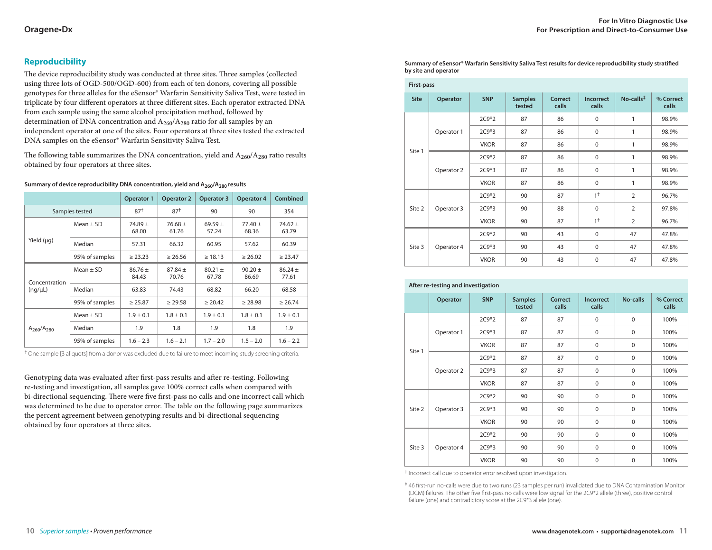## **Reproducibility**

The device reproducibility study was conducted at three sites. Three samples (collected using three lots of OGD-500/OGD-600) from each of ten donors, covering all possible genotypes for three alleles for the eSensor® Warfarin Sensitivity Saliva Test, were tested in triplicate by four different operators at three different sites. Each operator extracted DNA from each sample using the same alcohol precipitation method, followed by determination of DNA concentration and  $A_{260}/A_{280}$  ratio for all samples by an independent operator at one of the sites. Four operators at three sites tested the extracted DNA samples on the eSensor® Warfarin Sensitivity Saliva Test.

The following table summarizes the DNA concentration, yield and  $A_{260}/A_{280}$  ratio results obtained by four operators at three sites.

| Summary of device reproducibility DNA concentration, yield and A <sub>260</sub> /A <sub>280</sub> results |  |
|-----------------------------------------------------------------------------------------------------------|--|
|-----------------------------------------------------------------------------------------------------------|--|

|                   |                | <b>Operator 1</b>    | <b>Operator 2</b>    | <b>Operator 3</b>    | Operator 4           | Combined             |
|-------------------|----------------|----------------------|----------------------|----------------------|----------------------|----------------------|
|                   | Samples tested | 87 <sup>†</sup>      | 87 <sup>†</sup>      | 90                   | 90                   | 354                  |
|                   | Mean $\pm$ SD  | 74.89 $\pm$<br>68.00 | $76.68 \pm$<br>61.76 | 69.59 $\pm$<br>57.24 | $77.40 \pm$<br>68.36 | $74.62 \pm$<br>63.79 |
| Yield (µg)        | Median         | 57.31                | 66.32                | 60.95                | 57.62                | 60.39                |
|                   | 95% of samples | $\geq$ 23.23         | $\geq 26.56$         | $\geq 18.13$         | $\geq 26.02$         | $\geq$ 23.47         |
| Concentration     | $Mean \pm SD$  | $86.76 +$<br>84.43   | $87.84 +$<br>70.76   | $80.21 +$<br>67.78   | $90.20 +$<br>86.69   | $86.24 \pm$<br>77.61 |
| $(nq/\mu L)$      | Median         | 63.83                | 74.43                | 68.82                | 66.20                | 68.58                |
|                   | 95% of samples | $\geq$ 25.87         | $\geq$ 29.58         | $\geq 20.42$         | $\geq 28.98$         | $\geq$ 26.74         |
| $A_{260}/A_{280}$ | Mean $\pm$ SD  | $1.9 \pm 0.1$        | $1.8 \pm 0.1$        | $1.9 \pm 0.1$        | $1.8 \pm 0.1$        | $1.9 \pm 0.1$        |
|                   | Median         | 1.9                  | 1.8                  | 1.9                  | 1.8                  | 1.9                  |
|                   | 95% of samples | $1.6 - 2.3$          | $1.6 - 2.1$          | $1.7 - 2.0$          | $1.5 - 2.0$          | $1.6 - 2.2$          |

† One sample [3 aliquots] from a donor was excluded due to failure to meet incoming study screening criteria.

Genotyping data was evaluated after first-pass results and after re-testing. Following re-testing and investigation, all samples gave 100% correct calls when compared with bi-directional sequencing. There were five first-pass no calls and one incorrect call which was determined to be due to operator error. The table on the following page summarizes the percent agreement between genotyping results and bi-directional sequencing obtained by four operators at three sites.

**Summary of eSensor® Warfarin Sensitivity Saliva Test results for device reproducibility study stratified by site and operator**

| <b>First-pass</b> |             |             |                          |                         |                           |                                              |                    |
|-------------------|-------------|-------------|--------------------------|-------------------------|---------------------------|----------------------------------------------|--------------------|
| <b>Site</b>       | Operator    | <b>SNP</b>  | <b>Samples</b><br>tested | <b>Correct</b><br>calls | <b>Incorrect</b><br>calls | $No$ -calls <sup><math>\ddagger</math></sup> | % Correct<br>calls |
|                   |             | $2C9*2$     | 87                       | 86                      | $\mathbf 0$               | 1                                            | 98.9%              |
|                   | Operator 1  | $2C9*3$     | 87                       | 86                      | $\Omega$                  | 1                                            | 98.9%              |
| Site 1            |             | <b>VKOR</b> | 87                       | 86                      | $\mathbf 0$               | 1                                            | 98.9%              |
|                   |             | $2C9*2$     | 87                       | 86                      | $\mathbf 0$               | 1                                            | 98.9%              |
|                   | Operator 2  | $2C9*3$     | 87                       | 86                      | $\mathbf 0$               | 1                                            | 98.9%              |
|                   |             | <b>VKOR</b> | 87                       | 86                      | $\mathbf 0$               | 1                                            | 98.9%              |
|                   |             | $2C9*2$     | 90                       | 87                      | 1 <sup>†</sup>            | $\overline{2}$                               | 96.7%              |
| Site 2            | Operator 3  | $2C9*3$     | 90                       | 88                      | $\mathbf 0$               | $\overline{2}$                               | 97.8%              |
|                   |             | <b>VKOR</b> | 90                       | 87                      | $1^{\dagger}$             | $\overline{2}$                               | 96.7%              |
|                   |             | $2C9*2$     | 90                       | 43                      | $\mathbf 0$               | 47                                           | 47.8%              |
| Site 3            | Operator 4  | $2C9*3$     | 90                       | 43                      | $\mathbf 0$               | 47                                           | 47.8%              |
|                   | <b>VKOR</b> | 90          | 43                       | $\Omega$                | 47                        | 47.8%                                        |                    |

| ------, ------ ---- -----, -- |             |             |                          |                         |                           |                 |                    |
|-------------------------------|-------------|-------------|--------------------------|-------------------------|---------------------------|-----------------|--------------------|
|                               | Operator    | <b>SNP</b>  | <b>Samples</b><br>tested | <b>Correct</b><br>calls | <b>Incorrect</b><br>calls | <b>No-calls</b> | % Correct<br>calls |
|                               |             | $2C9*2$     | 87                       | 87                      | $\mathbf 0$               | $\mathbf 0$     | 100%               |
|                               | Operator 1  | $2C9*3$     | 87                       | 87                      | $\mathbf 0$               | $\mathbf 0$     | 100%               |
|                               |             | <b>VKOR</b> | 87                       | 87                      | $\mathbf 0$               | $\mathbf 0$     | 100%               |
| Site 1                        |             | $2C9*2$     | 87                       | 87                      | $\mathbf 0$               | $\mathbf 0$     | 100%               |
|                               | Operator 2  | $2C9*3$     | 87                       | 87                      | $\mathbf 0$               | $\mathbf 0$     | 100%               |
|                               |             | <b>VKOR</b> | 87                       | 87                      | $\mathbf 0$               | $\mathbf 0$     | 100%               |
|                               |             | $2C9*2$     | 90                       | 90                      | $\mathbf 0$               | $\mathbf 0$     | 100%               |
| Site 2                        | Operator 3  | $2C9*3$     | 90                       | 90                      | $\mathbf 0$               | $\mathbf 0$     | 100%               |
|                               |             | <b>VKOR</b> | 90                       | 90                      | $\mathbf 0$               | $\mathbf 0$     | 100%               |
|                               |             | $2C9*2$     | 90                       | 90                      | $\mathbf 0$               | $\mathbf 0$     | 100%               |
| Site 3<br>Operator 4          | $2C9*3$     | 90          | 90                       | $\mathbf 0$             | $\mathbf 0$               | 100%            |                    |
|                               | <b>VKOR</b> | 90          | 90                       | $\mathbf 0$             | $\mathbf 0$               | 100%            |                    |

† Incorrect call due to operator error resolved upon investigation.

**After re-testing and investigation**

‡ 46 first-run no-calls were due to two runs (23 samples per run) invalidated due to DNA Contamination Monitor (DCM) failures. The other five first-pass no calls were low signal for the 2C9\*2 allele (three), positive control failure (one) and contradictory score at the 2C9\*3 allele (one).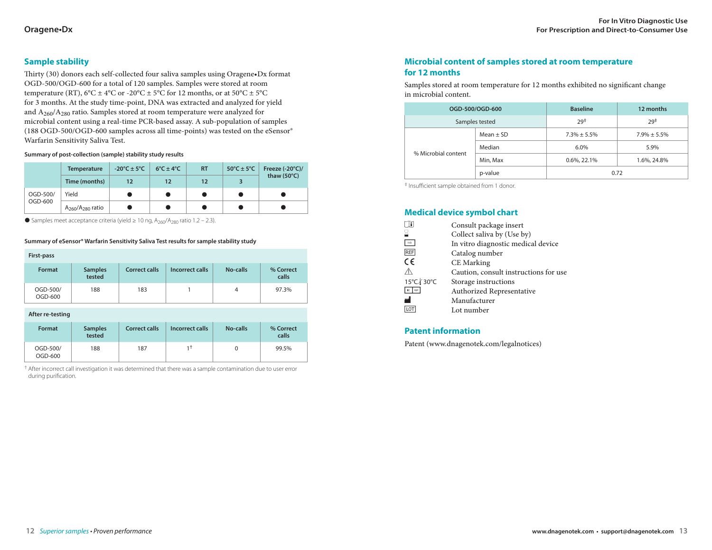## **Sample stability**

Thirty (30) donors each self-collected four saliva samples using Oragene•Dx format OGD-500/OGD-600 for a total of 120 samples. Samples were stored at room temperature (RT),  $6^{\circ}$ C ±  $4^{\circ}$ C or -20 $^{\circ}$ C ± 5 $^{\circ}$ C for 12 months, or at 50 $^{\circ}$ C ± 5 $^{\circ}$ C for 3 months. At the study time-point, DNA was extracted and analyzed for yield and  $A_{260}/A_{280}$  ratio. Samples stored at room temperature were analyzed for microbial content using a real-time PCR-based assay. A sub-population of samples (188 OGD-500/OGD-600 samples across all time-points) was tested on the eSensor® Warfarin Sensitivity Saliva Test.

#### **Summary of post-collection (sample) stability study results**

|  |                     | <b>Temperature</b>      | -20°C $\pm$ 5°C | $6^{\circ}$ C $\pm$ 4 $^{\circ}$ C | <b>RT</b> | $50^{\circ}$ C $\pm$ 5°C | Freeze $(-20^{\circ}C)/$ |
|--|---------------------|-------------------------|-----------------|------------------------------------|-----------|--------------------------|--------------------------|
|  | Time (months)       | 12                      | 12              | 12                                 |           | thaw $(50^{\circ}C)$     |                          |
|  | OGD-500/<br>OGD-600 | Yield                   |                 |                                    |           |                          |                          |
|  |                     | $A_{260}/A_{280}$ ratio |                 |                                    |           |                          |                          |

 $\bullet$  Samples meet acceptance criteria (yield ≥ 10 ng, A<sub>260</sub>/A<sub>280</sub> ratio 1.2 – 2.3).

#### **Summary of eSensor® Warfarin Sensitivity Saliva Test results for sample stability study**

| <b>First-pass</b>   |                          |                      |                 |          |                    |
|---------------------|--------------------------|----------------------|-----------------|----------|--------------------|
| <b>Format</b>       | <b>Samples</b><br>tested | <b>Correct calls</b> | Incorrect calls | No-calls | % Correct<br>calls |
| OGD-500/<br>OGD-600 | 188                      | 183                  |                 | 4        | 97.3%              |

#### **After re-testing**

| Format              | <b>Samples</b><br>tested | <b>Correct calls</b> | Incorrect calls | No-calls | % Correct<br>calls |
|---------------------|--------------------------|----------------------|-----------------|----------|--------------------|
| OGD-500/<br>OGD-600 | 188                      | 187                  | 11              |          | 99.5%              |

† After incorrect call investigation it was determined that there was a sample contamination due to user error during purification.

## **Microbial content of samples stored at room temperature for 12 months**

Samples stored at room temperature for 12 months exhibited no significant change in microbial content.

|                     | OGD-500/OGD-600 | <b>Baseline</b>   | 12 months         |
|---------------------|-----------------|-------------------|-------------------|
| Samples tested      |                 | 29 <sup>‡</sup>   | 29 <sup>‡</sup>   |
| % Microbial content | $Mean + SD$     | $7.3\% \pm 5.5\%$ | $7.9\% \pm 5.5\%$ |
|                     | Median          | 6.0%              | 5.9%              |
|                     | Min, Max        | 0.6%, 22.1%       | 1.6%, 24.8%       |
|                     | p-value         | 0.72              |                   |

‡ Insufficient sample obtained from 1 donor.

## **Medical device symbol chart**

| Consult package insert                |
|---------------------------------------|
| Collect saliva by (Use by)            |
| In vitro diagnostic medical device    |
| Catalog number                        |
| <b>CE</b> Marking                     |
| Caution, consult instructions for use |
| Storage instructions                  |
| Authorized Representative             |
| Manufacturer                          |
| Lot number                            |
|                                       |

## **Patent information**

Patent (www.dnagenotek.com/legalnotices)